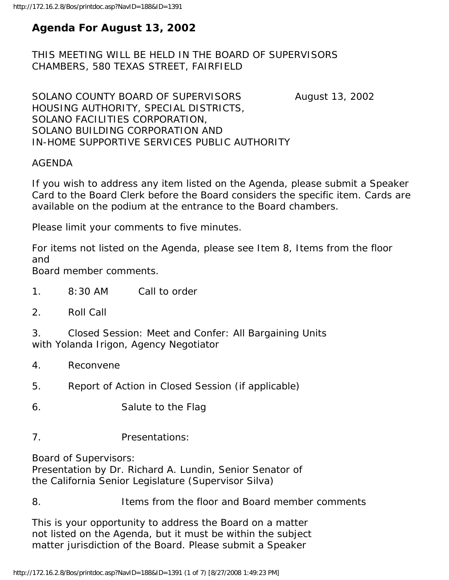# **Agenda For August 13, 2002**

THIS MEETING WILL BE HELD IN THE BOARD OF SUPERVISORS CHAMBERS, 580 TEXAS STREET, FAIRFIELD

SOLANO COUNTY BOARD OF SUPERVISORS August 13, 2002 HOUSING AUTHORITY, SPECIAL DISTRICTS, SOLANO FACILITIES CORPORATION, SOLANO BUILDING CORPORATION AND IN-HOME SUPPORTIVE SERVICES PUBLIC AUTHORITY

# AGENDA

If you wish to address any item listed on the Agenda, please submit a Speaker Card to the Board Clerk before the Board considers the specific item. Cards are available on the podium at the entrance to the Board chambers.

Please limit your comments to five minutes.

For items not listed on the Agenda, please see Item 8, Items from the floor and

Board member comments.

- 1. 8:30 AM Call to order
- 2. Roll Call

3. Closed Session: Meet and Confer: All Bargaining Units with Yolanda Irigon, Agency Negotiator

- 4. Reconvene
- 5. Report of Action in Closed Session (if applicable)
- 6. Salute to the Flag
- 7. Presentations:

Board of Supervisors:

Presentation by Dr. Richard A. Lundin, Senior Senator of the California Senior Legislature (Supervisor Silva)

8. Items from the floor and Board member comments

This is your opportunity to address the Board on a matter not listed on the Agenda, but it must be within the subject matter jurisdiction of the Board. Please submit a Speaker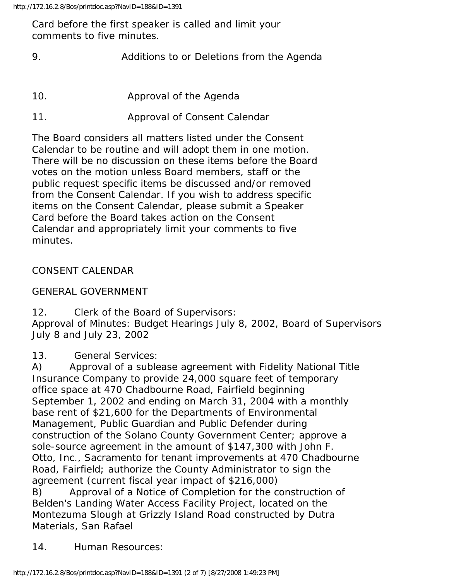Card before the first speaker is called and limit your comments to five minutes.

- 9. Additions to or Deletions from the Agenda
- 10. Approval of the Agenda
- 11. Approval of Consent Calendar

The Board considers all matters listed under the Consent Calendar to be routine and will adopt them in one motion. There will be no discussion on these items before the Board votes on the motion unless Board members, staff or the public request specific items be discussed and/or removed from the Consent Calendar. If you wish to address specific items on the Consent Calendar, please submit a Speaker Card before the Board takes action on the Consent Calendar and appropriately limit your comments to five minutes.

## CONSENT CALENDAR

GENERAL GOVERNMENT

12. Clerk of the Board of Supervisors:

Approval of Minutes: Budget Hearings July 8, 2002, Board of Supervisors July 8 and July 23, 2002

13. General Services:

A) Approval of a sublease agreement with Fidelity National Title Insurance Company to provide 24,000 square feet of temporary office space at 470 Chadbourne Road, Fairfield beginning September 1, 2002 and ending on March 31, 2004 with a monthly base rent of \$21,600 for the Departments of Environmental Management, Public Guardian and Public Defender during construction of the Solano County Government Center; approve a sole-source agreement in the amount of \$147,300 with John F. Otto, Inc., Sacramento for tenant improvements at 470 Chadbourne Road, Fairfield; authorize the County Administrator to sign the agreement (current fiscal year impact of \$216,000) B) Approval of a Notice of Completion for the construction of

Belden's Landing Water Access Facility Project, located on the Montezuma Slough at Grizzly Island Road constructed by Dutra Materials, San Rafael

14. Human Resources: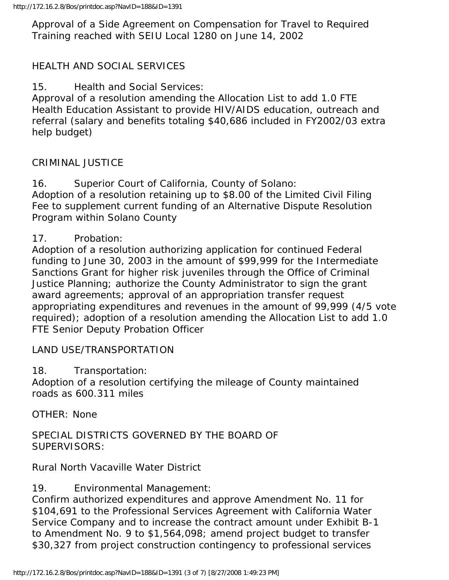Approval of a Side Agreement on Compensation for Travel to Required Training reached with SEIU Local 1280 on June 14, 2002

## HEALTH AND SOCIAL SERVICES

15. Health and Social Services:

Approval of a resolution amending the Allocation List to add 1.0 FTE Health Education Assistant to provide HIV/AIDS education, outreach and referral (salary and benefits totaling \$40,686 included in FY2002/03 extra help budget)

## CRIMINAL JUSTICE

16. Superior Court of California, County of Solano: Adoption of a resolution retaining up to \$8.00 of the Limited Civil Filing Fee to supplement current funding of an Alternative Dispute Resolution Program within Solano County

## 17. Probation:

Adoption of a resolution authorizing application for continued Federal funding to June 30, 2003 in the amount of \$99,999 for the Intermediate Sanctions Grant for higher risk juveniles through the Office of Criminal Justice Planning; authorize the County Administrator to sign the grant award agreements; approval of an appropriation transfer request appropriating expenditures and revenues in the amount of 99,999 (4/5 vote required); adoption of a resolution amending the Allocation List to add 1.0 FTE Senior Deputy Probation Officer

#### LAND USE/TRANSPORTATION

18. Transportation:

Adoption of a resolution certifying the mileage of County maintained roads as 600.311 miles

OTHER: None

SPECIAL DISTRICTS GOVERNED BY THE BOARD OF SUPERVISORS:

Rural North Vacaville Water District

19. Environmental Management:

Confirm authorized expenditures and approve Amendment No. 11 for \$104,691 to the Professional Services Agreement with California Water Service Company and to increase the contract amount under Exhibit B-1 to Amendment No. 9 to \$1,564,098; amend project budget to transfer \$30,327 from project construction contingency to professional services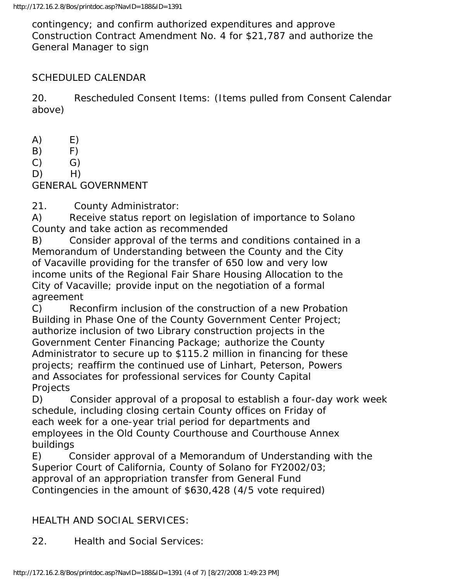contingency; and confirm authorized expenditures and approve Construction Contract Amendment No. 4 for \$21,787 and authorize the General Manager to sign

## SCHEDULED CALENDAR

20. Rescheduled Consent Items: (Items pulled from Consent Calendar above)

- $(A)$   $E)$
- B) F)
- $(C)$   $G)$
- $D)$  H)

GENERAL GOVERNMENT

21. County Administrator:

A) Receive status report on legislation of importance to Solano County and take action as recommended

B) Consider approval of the terms and conditions contained in a Memorandum of Understanding between the County and the City of Vacaville providing for the transfer of 650 low and very low income units of the Regional Fair Share Housing Allocation to the City of Vacaville; provide input on the negotiation of a formal agreement

C) Reconfirm inclusion of the construction of a new Probation Building in Phase One of the County Government Center Project; authorize inclusion of two Library construction projects in the Government Center Financing Package; authorize the County Administrator to secure up to \$115.2 million in financing for these projects; reaffirm the continued use of Linhart, Peterson, Powers and Associates for professional services for County Capital Projects

D) Consider approval of a proposal to establish a four-day work week schedule, including closing certain County offices on Friday of each week for a one-year trial period for departments and employees in the Old County Courthouse and Courthouse Annex buildings

E) Consider approval of a Memorandum of Understanding with the Superior Court of California, County of Solano for FY2002/03; approval of an appropriation transfer from General Fund Contingencies in the amount of \$630,428 (4/5 vote required)

## HEALTH AND SOCIAL SERVICES:

22. Health and Social Services: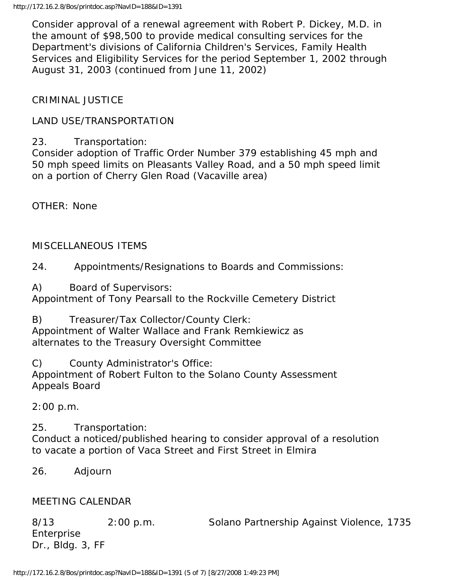Consider approval of a renewal agreement with Robert P. Dickey, M.D. in the amount of \$98,500 to provide medical consulting services for the Department's divisions of California Children's Services, Family Health Services and Eligibility Services for the period September 1, 2002 through August 31, 2003 (continued from June 11, 2002)

## CRIMINAL JUSTICE

## LAND USE/TRANSPORTATION

## 23. Transportation:

Consider adoption of Traffic Order Number 379 establishing 45 mph and 50 mph speed limits on Pleasants Valley Road, and a 50 mph speed limit on a portion of Cherry Glen Road (Vacaville area)

OTHER: None

#### MISCELLANEOUS ITEMS

24. Appointments/Resignations to Boards and Commissions:

A) Board of Supervisors:

Appointment of Tony Pearsall to the Rockville Cemetery District

B) Treasurer/Tax Collector/County Clerk: Appointment of Walter Wallace and Frank Remkiewicz as alternates to the Treasury Oversight Committee

C) County Administrator's Office: Appointment of Robert Fulton to the Solano County Assessment Appeals Board

2:00 p.m.

25. Transportation: Conduct a noticed/published hearing to consider approval of a resolution to vacate a portion of Vaca Street and First Street in Elmira

#### 26. Adjourn

#### MEETING CALENDAR

8/13 2:00 p.m. Solano Partnership Against Violence, 1735 Enterprise Dr., Bldg. 3, FF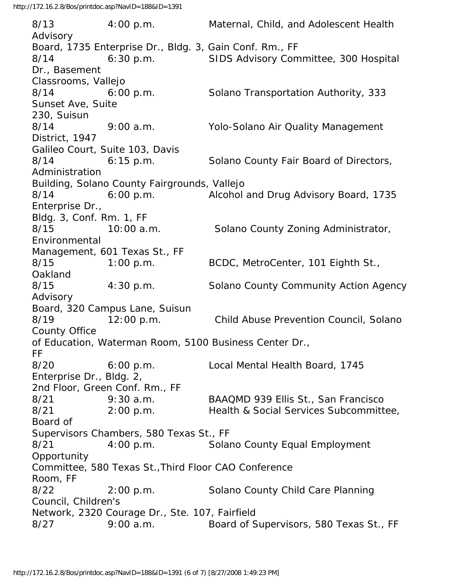8/13 4:00 p.m. Maternal, Child, and Adolescent Health Advisory Board, 1735 Enterprise Dr., Bldg. 3, Gain Conf. Rm., FF 8/14 6:30 p.m. SIDS Advisory Committee, 300 Hospital Dr., Basement Classrooms, Vallejo 8/14 6:00 p.m. Solano Transportation Authority, 333 Sunset Ave, Suite 230, Suisun 8/14 9:00 a.m. Yolo-Solano Air Quality Management District, 1947 Galileo Court, Suite 103, Davis 8/14 6:15 p.m. Solano County Fair Board of Directors, Administration Building, Solano County Fairgrounds, Vallejo 8/14 6:00 p.m. Alcohol and Drug Advisory Board, 1735 Enterprise Dr., Bldg. 3, Conf. Rm. 1, FF 8/15 10:00 a.m. Solano County Zoning Administrator, Environmental Management, 601 Texas St., FF 8/15 1:00 p.m. BCDC, MetroCenter, 101 Eighth St., Oakland 8/15 4:30 p.m. Solano County Community Action Agency Advisory Board, 320 Campus Lane, Suisun 8/19 12:00 p.m. Child Abuse Prevention Council, Solano County Office of Education, Waterman Room, 5100 Business Center Dr., FF 8/20 6:00 p.m. Local Mental Health Board, 1745 Enterprise Dr., Bldg. 2, 2nd Floor, Green Conf. Rm., FF 8/21 9:30 a.m. BAAQMD 939 Ellis St., San Francisco 8/21 2:00 p.m. Health & Social Services Subcommittee, Board of Supervisors Chambers, 580 Texas St., FF 8/21 4:00 p.m. Solano County Equal Employment **Opportunity** Committee, 580 Texas St.,Third Floor CAO Conference Room, FF 8/22 2:00 p.m. Solano County Child Care Planning Council, Children's Network, 2320 Courage Dr., Ste. 107, Fairfield 8/27 9:00 a.m. Board of Supervisors, 580 Texas St., FF